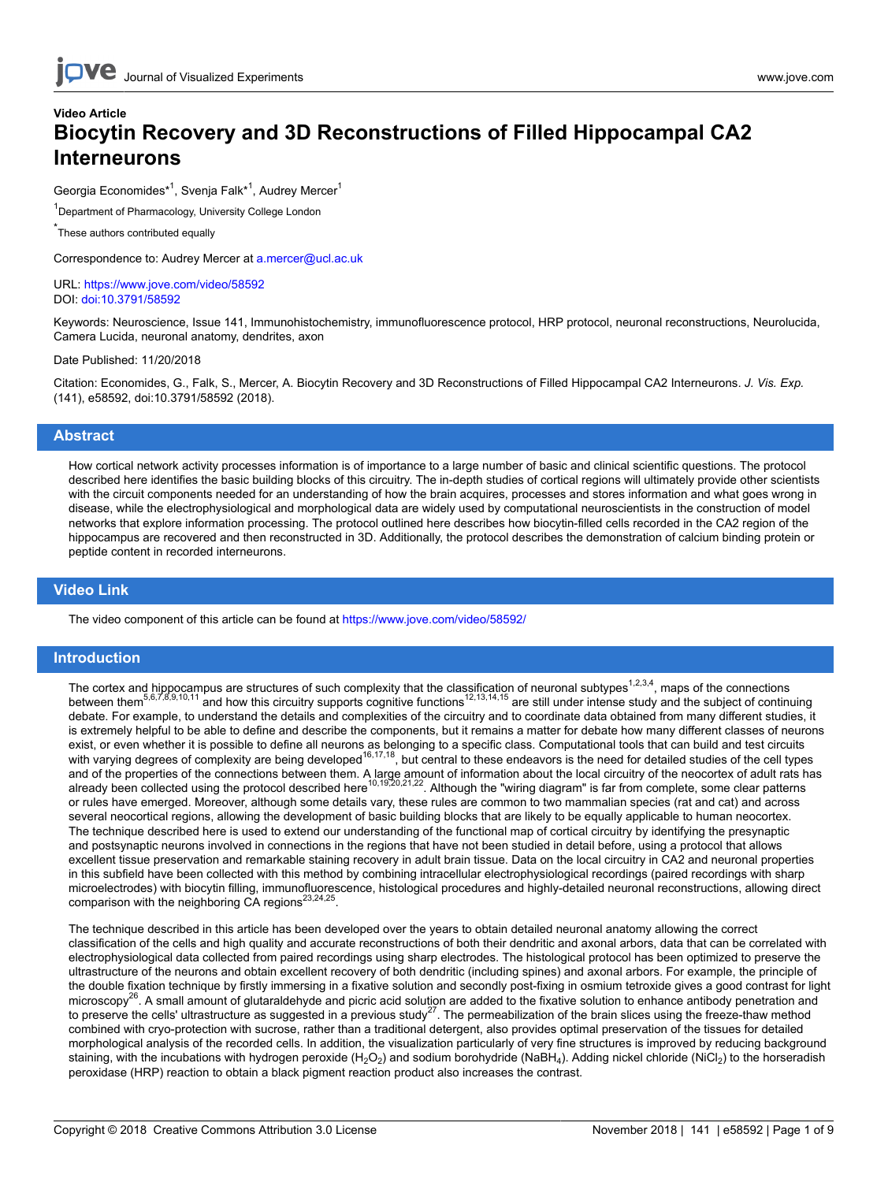# **Video Article Biocytin Recovery and 3D Reconstructions of Filled Hippocampal CA2 Interneurons**

Georgia Economides<sup>\*1</sup>, Svenja Falk<sup>\*1</sup>, Audrey Mercer<sup>1</sup>

<sup>1</sup>Department of Pharmacology, University College London

\* These authors contributed equally

Correspondence to: Audrey Mercer at [a.mercer@ucl.ac.uk](mailto:a.mercer@ucl.ac.uk)

URL:<https://www.jove.com/video/58592> DOI: [doi:10.3791/58592](http://dx.doi.org/10.3791/58592)

Keywords: Neuroscience, Issue 141, Immunohistochemistry, immunofluorescence protocol, HRP protocol, neuronal reconstructions, Neurolucida, Camera Lucida, neuronal anatomy, dendrites, axon

#### Date Published: 11/20/2018

Citation: Economides, G., Falk, S., Mercer, A. Biocytin Recovery and 3D Reconstructions of Filled Hippocampal CA2 Interneurons. *J. Vis. Exp.* (141), e58592, doi:10.3791/58592 (2018).

### **Abstract**

How cortical network activity processes information is of importance to a large number of basic and clinical scientific questions. The protocol described here identifies the basic building blocks of this circuitry. The in-depth studies of cortical regions will ultimately provide other scientists with the circuit components needed for an understanding of how the brain acquires, processes and stores information and what goes wrong in disease, while the electrophysiological and morphological data are widely used by computational neuroscientists in the construction of model networks that explore information processing. The protocol outlined here describes how biocytin-filled cells recorded in the CA2 region of the hippocampus are recovered and then reconstructed in 3D. Additionally, the protocol describes the demonstration of calcium binding protein or peptide content in recorded interneurons.

### **Video Link**

The video component of this article can be found at <https://www.jove.com/video/58592/>

## **Introduction**

The cortex and hippocampus are structures of such complexity that the classification of neuronal subtypes<sup>1,2,3,4</sup>, maps of the connections<br>between them<sup>5,6,7,8,9,10,11</sup> and how this circuitry supports cognitive functions<sup></sup> debate. For example, to understand the details and complexities of the circuitry and to coordinate data obtained from many different studies, it is extremely helpful to be able to define and describe the components, but it remains a matter for debate how many different classes of neurons exist, or even whether it is possible to define all neurons as belonging to a specific class. Computational tools that can build and test circuits with varying degrees of complexity are being developed<sup>16,17,18</sup>, but central to these endeavors is the need for detailed studies of the cell types and of the properties of the connections between them. A large amount of information about the local circuitry of the neocortex of adult rats has<br>already been collected using the protocol described here<sup>10,19,20,21,22</sup>. Al or rules have emerged. Moreover, although some details vary, these rules are common to two mammalian species (rat and cat) and across several neocortical regions, allowing the development of basic building blocks that are likely to be equally applicable to human neocortex. The technique described here is used to extend our understanding of the functional map of cortical circuitry by identifying the presynaptic and postsynaptic neurons involved in connections in the regions that have not been studied in detail before, using a protocol that allows excellent tissue preservation and remarkable staining recovery in adult brain tissue. Data on the local circuitry in CA2 and neuronal properties in this subfield have been collected with this method by combining intracellular electrophysiological recordings (paired recordings with sharp microelectrodes) with biocytin filling, immunofluorescence, histological procedures and highly-detailed neuronal reconstructions, allowing direct comparison with the neighboring CA regions $^{23,24,25}$ .

The technique described in this article has been developed over the years to obtain detailed neuronal anatomy allowing the correct classification of the cells and high quality and accurate reconstructions of both their dendritic and axonal arbors, data that can be correlated with electrophysiological data collected from paired recordings using sharp electrodes. The histological protocol has been optimized to preserve the ultrastructure of the neurons and obtain excellent recovery of both dendritic (including spines) and axonal arbors. For example, the principle of the double fixation technique by firstly immersing in a fixative solution and secondly post-fixing in osmium tetroxide gives a good contrast for light microscopy<sup>2b</sup>. A small amount of glutaraldehyde and picric acid solution are added to the fixative solution to enhance antibody penetration and to preserve the cells' ultrastructure as suggested in a previous study<sup>27</sup>. The permeabilization of the brain slices using the freeze-thaw method combined with cryo-protection with sucrose, rather than a traditional detergent, also provides optimal preservation of the tissues for detailed morphological analysis of the recorded cells. In addition, the visualization particularly of very fine structures is improved by reducing background staining, with the incubations with hydrogen peroxide (H<sub>2</sub>O<sub>2</sub>) and sodium borohydride (NaBH<sub>4</sub>). Adding nickel chloride (NiCl<sub>2</sub>) to the horseradish peroxidase (HRP) reaction to obtain a black pigment reaction product also increases the contrast.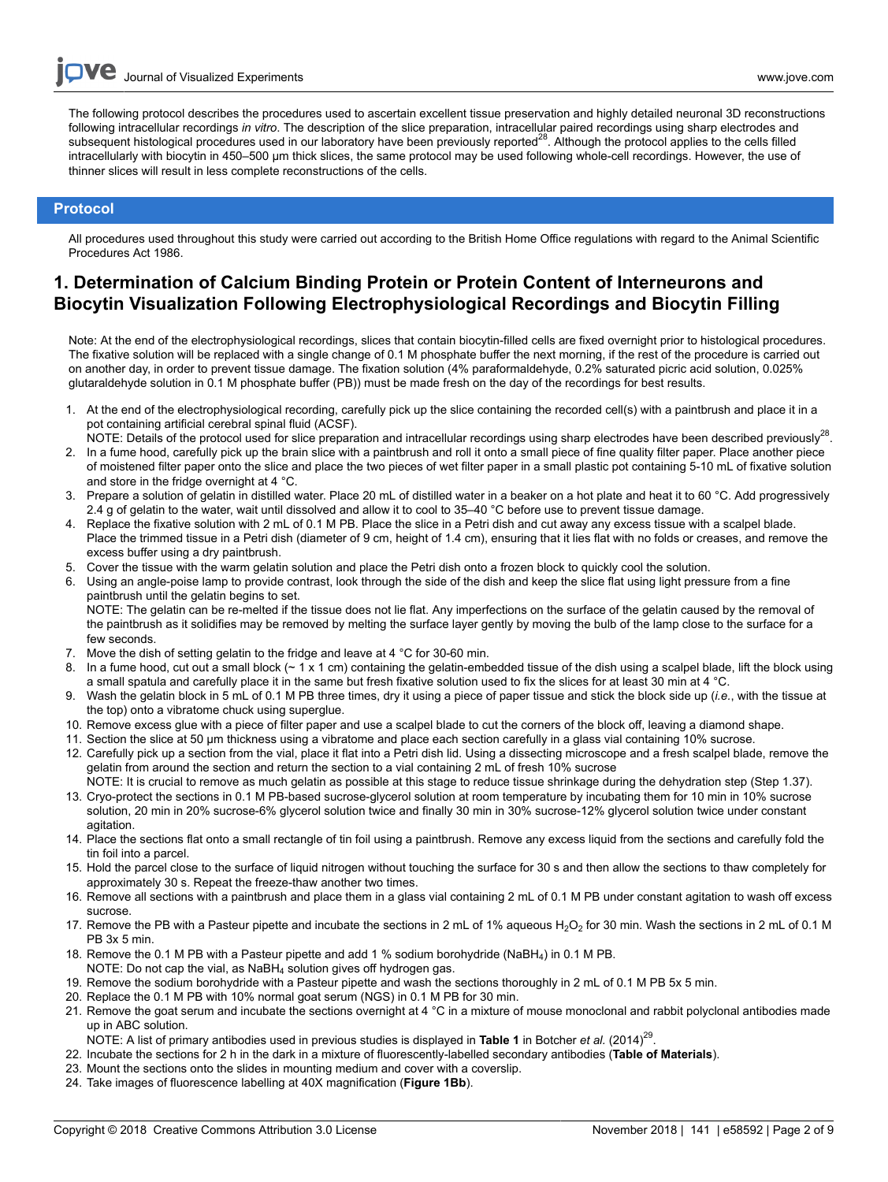The following protocol describes the procedures used to ascertain excellent tissue preservation and highly detailed neuronal 3D reconstructions following intracellular recordings *in vitro*. The description of the slice preparation, intracellular paired recordings using sharp electrodes and<br>subsequent histological procedures used in our laboratory have been previo intracellularly with biocytin in 450–500 μm thick slices, the same protocol may be used following whole-cell recordings. However, the use of thinner slices will result in less complete reconstructions of the cells.

## **Protocol**

All procedures used throughout this study were carried out according to the British Home Office regulations with regard to the Animal Scientific Procedures Act 1986.

# **1. Determination of Calcium Binding Protein or Protein Content of Interneurons and Biocytin Visualization Following Electrophysiological Recordings and Biocytin Filling**

Note: At the end of the electrophysiological recordings, slices that contain biocytin-filled cells are fixed overnight prior to histological procedures. The fixative solution will be replaced with a single change of 0.1 M phosphate buffer the next morning, if the rest of the procedure is carried out on another day, in order to prevent tissue damage. The fixation solution (4% paraformaldehyde, 0.2% saturated picric acid solution, 0.025% glutaraldehyde solution in 0.1 M phosphate buffer (PB)) must be made fresh on the day of the recordings for best results.

- 1. At the end of the electrophysiological recording, carefully pick up the slice containing the recorded cell(s) with a paintbrush and place it in a pot containing artificial cerebral spinal fluid (ACSF).
- NOTE: Details of the protocol used for slice preparation and intracellular recordings using sharp electrodes have been described previously<sup>28</sup>. 2. In a fume hood, carefully pick up the brain slice with a paintbrush and roll it onto a small piece of fine quality filter paper. Place another piece of moistened filter paper onto the slice and place the two pieces of wet filter paper in a small plastic pot containing 5-10 mL of fixative solution and store in the fridge overnight at 4 °C.
- 3. Prepare a solution of gelatin in distilled water. Place 20 mL of distilled water in a beaker on a hot plate and heat it to 60 °C. Add progressively 2.4 g of gelatin to the water, wait until dissolved and allow it to cool to 35-40 °C before use to prevent tissue damage.
- 4. Replace the fixative solution with 2 mL of 0.1 M PB. Place the slice in a Petri dish and cut away any excess tissue with a scalpel blade. Place the trimmed tissue in a Petri dish (diameter of 9 cm, height of 1.4 cm), ensuring that it lies flat with no folds or creases, and remove the excess buffer using a dry paintbrush.
- 5. Cover the tissue with the warm gelatin solution and place the Petri dish onto a frozen block to quickly cool the solution.
- 6. Using an angle-poise lamp to provide contrast, look through the side of the dish and keep the slice flat using light pressure from a fine paintbrush until the gelatin begins to set. NOTE: The gelatin can be re-melted if the tissue does not lie flat. Any imperfections on the surface of the gelatin caused by the removal of the paintbrush as it solidifies may be removed by melting the surface layer gently by moving the bulb of the lamp close to the surface for a few seconds.
- 7. Move the dish of setting gelatin to the fridge and leave at 4 °C for 30-60 min.
- 8. In a fume hood, cut out a small block ( $\sim 1 \times 1$  cm) containing the gelatin-embedded tissue of the dish using a scalpel blade, lift the block using a small spatula and carefully place it in the same but fresh fixative solution used to fix the slices for at least 30 min at 4 °C.
- 9. Wash the gelatin block in 5 mL of 0.1 M PB three times, dry it using a piece of paper tissue and stick the block side up (*i.e.*, with the tissue at the top) onto a vibratome chuck using superglue.
- 10. Remove excess glue with a piece of filter paper and use a scalpel blade to cut the corners of the block off, leaving a diamond shape.
- 11. Section the slice at 50 µm thickness using a vibratome and place each section carefully in a glass vial containing 10% sucrose.
- 12. Carefully pick up a section from the vial, place it flat into a Petri dish lid. Using a dissecting microscope and a fresh scalpel blade, remove the gelatin from around the section and return the section to a vial containing 2 mL of fresh 10% sucrose NOTE: It is crucial to remove as much gelatin as possible at this stage to reduce tissue shrinkage during the dehydration step (Step 1.37).
- 13. Cryo-protect the sections in 0.1 M PB-based sucrose-glycerol solution at room temperature by incubating them for 10 min in 10% sucrose solution, 20 min in 20% sucrose-6% glycerol solution twice and finally 30 min in 30% sucrose-12% glycerol solution twice under constant agitation
- 14. Place the sections flat onto a small rectangle of tin foil using a paintbrush. Remove any excess liquid from the sections and carefully fold the tin foil into a parcel.
- 15. Hold the parcel close to the surface of liquid nitrogen without touching the surface for 30 s and then allow the sections to thaw completely for approximately 30 s. Repeat the freeze-thaw another two times.
- 16. Remove all sections with a paintbrush and place them in a glass vial containing 2 mL of 0.1 M PB under constant agitation to wash off excess sucrose.
- 17. Remove the PB with a Pasteur pipette and incubate the sections in 2 mL of 1% aqueous  $H_2O_2$  for 30 min. Wash the sections in 2 mL of 0.1 M PB 3x 5 min.
- 18. Remove the 0.1 M PB with a Pasteur pipette and add 1 % sodium borohydride (NaBH<sub>4</sub>) in 0.1 M PB.
- NOTE: Do not cap the vial, as NaBH<sup>4</sup> solution gives off hydrogen gas. 19. Remove the sodium borohydride with a Pasteur pipette and wash the sections thoroughly in 2 mL of 0.1 M PB 5x 5 min.
- 20. Replace the 0.1 M PB with 10% normal goat serum (NGS) in 0.1 M PB for 30 min.
- 21. Remove the goat serum and incubate the sections overnight at 4 °C in a mixture of mouse monoclonal and rabbit polyclonal antibodies made up in ABC solution.
- NOTE: A list of primary antibodies used in previous studies is displayed in **Table 1** in Botcher *et al.* (2014)<sup>29</sup>.
- 22. Incubate the sections for 2 h in the dark in a mixture of fluorescently-labelled secondary antibodies (**Table of Materials**).
- 23. Mount the sections onto the slides in mounting medium and cover with a coverslip.
- 24. Take images of fluorescence labelling at 40X magnification (**Figure 1Bb**).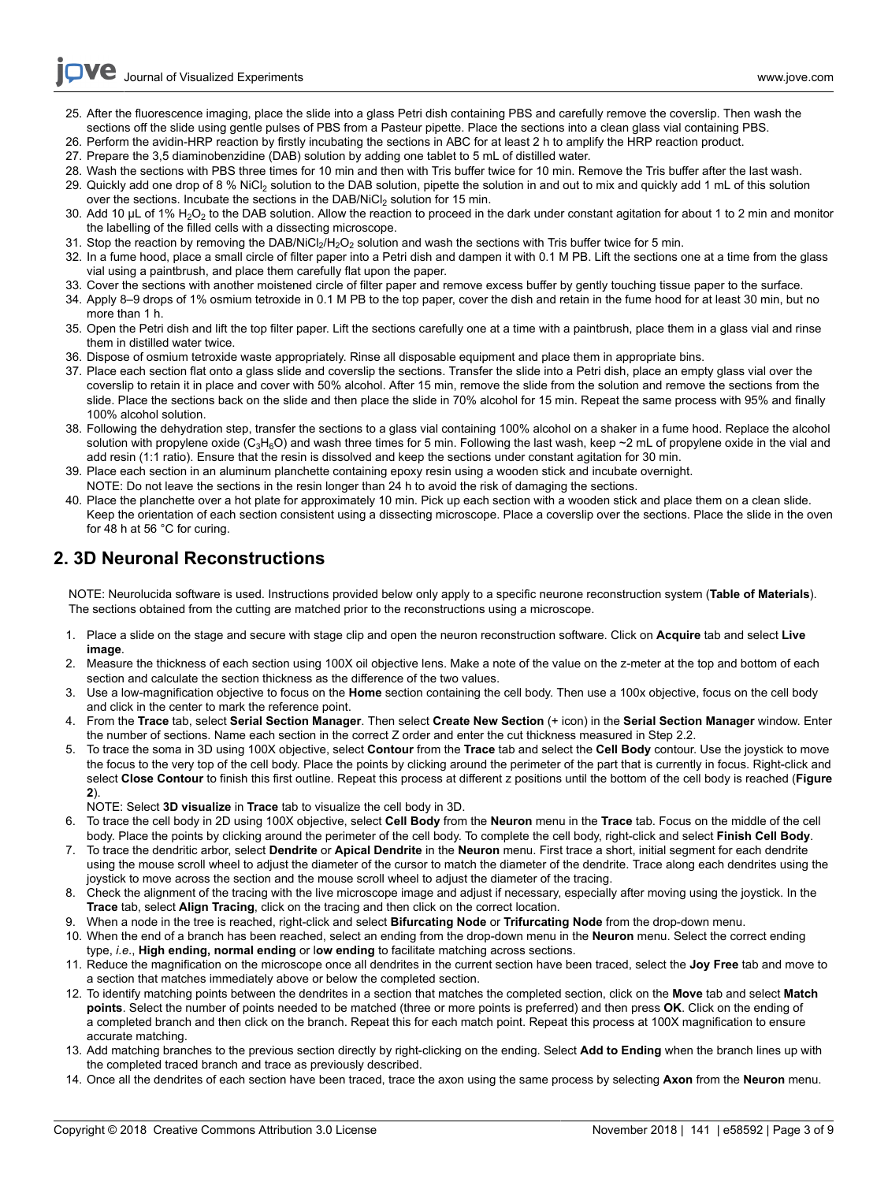- 25. After the fluorescence imaging, place the slide into a glass Petri dish containing PBS and carefully remove the coverslip. Then wash the sections off the slide using gentle pulses of PBS from a Pasteur pipette. Place the sections into a clean glass vial containing PBS.
- 26. Perform the avidin-HRP reaction by firstly incubating the sections in ABC for at least 2 h to amplify the HRP reaction product.
- 27. Prepare the 3,5 diaminobenzidine (DAB) solution by adding one tablet to 5 mL of distilled water.
- 28. Wash the sections with PBS three times for 10 min and then with Tris buffer twice for 10 min. Remove the Tris buffer after the last wash.
- 29. Quickly add one drop of 8 % NiCl<sub>2</sub> solution to the DAB solution, pipette the solution in and out to mix and quickly add 1 mL of this solution over the sections. Incubate the sections in the DAB/NiCl<sub>2</sub> solution for 15 min.
- 30. Add 10 µL of 1% H<sub>2</sub>O<sub>2</sub> to the DAB solution. Allow the reaction to proceed in the dark under constant agitation for about 1 to 2 min and monitor the labelling of the filled cells with a dissecting microscope.
- 31. Stop the reaction by removing the DAB/NiCl<sub>2</sub>/H<sub>2</sub>O<sub>2</sub> solution and wash the sections with Tris buffer twice for 5 min.
- 32. In a fume hood, place a small circle of filter paper into a Petri dish and dampen it with 0.1 M PB. Lift the sections one at a time from the glass vial using a paintbrush, and place them carefully flat upon the paper.
- 33. Cover the sections with another moistened circle of filter paper and remove excess buffer by gently touching tissue paper to the surface.
- 34. Apply 8–9 drops of 1% osmium tetroxide in 0.1 M PB to the top paper, cover the dish and retain in the fume hood for at least 30 min, but no more than 1 h.
- 35. Open the Petri dish and lift the top filter paper. Lift the sections carefully one at a time with a paintbrush, place them in a glass vial and rinse them in distilled water twice.
- 36. Dispose of osmium tetroxide waste appropriately. Rinse all disposable equipment and place them in appropriate bins.
- 37. Place each section flat onto a glass slide and coverslip the sections. Transfer the slide into a Petri dish, place an empty glass vial over the coverslip to retain it in place and cover with 50% alcohol. After 15 min, remove the slide from the solution and remove the sections from the slide. Place the sections back on the slide and then place the slide in 70% alcohol for 15 min. Repeat the same process with 95% and finally 100% alcohol solution.
- 38. Following the dehydration step, transfer the sections to a glass vial containing 100% alcohol on a shaker in a fume hood. Replace the alcohol solution with propylene oxide (C<sub>3</sub>H<sub>6</sub>O) and wash three times for 5 min. Following the last wash, keep ~2 mL of propylene oxide in the vial and add resin (1:1 ratio). Ensure that the resin is dissolved and keep the sections under constant agitation for 30 min.
- 39. Place each section in an aluminum planchette containing epoxy resin using a wooden stick and incubate overnight. NOTE: Do not leave the sections in the resin longer than 24 h to avoid the risk of damaging the sections.
- 40. Place the planchette over a hot plate for approximately 10 min. Pick up each section with a wooden stick and place them on a clean slide. Keep the orientation of each section consistent using a dissecting microscope. Place a coverslip over the sections. Place the slide in the oven for 48 h at 56 °C for curing.

# **2. 3D Neuronal Reconstructions**

NOTE: Neurolucida software is used. Instructions provided below only apply to a specific neurone reconstruction system (**Table of Materials**). The sections obtained from the cutting are matched prior to the reconstructions using a microscope.

- 1. Place a slide on the stage and secure with stage clip and open the neuron reconstruction software. Click on **Acquire** tab and select **Live image**.
- 2. Measure the thickness of each section using 100X oil objective lens. Make a note of the value on the z-meter at the top and bottom of each section and calculate the section thickness as the difference of the two values.
- 3. Use a low-magnification objective to focus on the **Home** section containing the cell body. Then use a 100x objective, focus on the cell body and click in the center to mark the reference point.
- 4. From the **Trace** tab, select **Serial Section Manager**. Then select **Create New Section** (+ icon) in the **Serial Section Manager** window. Enter the number of sections. Name each section in the correct Z order and enter the cut thickness measured in Step 2.2.
- 5. To trace the soma in 3D using 100X objective, select **Contour** from the **Trace** tab and select the **Cell Body** contour. Use the joystick to move the focus to the very top of the cell body. Place the points by clicking around the perimeter of the part that is currently in focus. Right-click and select **Close Contour** to finish this first outline. Repeat this process at different z positions until the bottom of the cell body is reached (**Figure 2**).

NOTE: Select **3D visualize** in **Trace** tab to visualize the cell body in 3D.

- 6. To trace the cell body in 2D using 100X objective, select **Cell Body** from the **Neuron** menu in the **Trace** tab. Focus on the middle of the cell body. Place the points by clicking around the perimeter of the cell body. To complete the cell body, right-click and select **Finish Cell Body**.
- 7. To trace the dendritic arbor, select **Dendrite** or **Apical Dendrite** in the **Neuron** menu. First trace a short, initial segment for each dendrite using the mouse scroll wheel to adjust the diameter of the cursor to match the diameter of the dendrite. Trace along each dendrites using the joystick to move across the section and the mouse scroll wheel to adjust the diameter of the tracing.
- 8. Check the alignment of the tracing with the live microscope image and adjust if necessary, especially after moving using the joystick. In the **Trace** tab, select **Align Tracing**, click on the tracing and then click on the correct location.
- 9. When a node in the tree is reached, right-click and select **Bifurcating Node** or **Trifurcating Node** from the drop-down menu.
- 10. When the end of a branch has been reached, select an ending from the drop-down menu in the **Neuron** menu. Select the correct ending type, *i.e*., **High ending, normal ending** or l**ow ending** to facilitate matching across sections.
- 11. Reduce the magnification on the microscope once all dendrites in the current section have been traced, select the **Joy Free** tab and move to a section that matches immediately above or below the completed section.
- 12. To identify matching points between the dendrites in a section that matches the completed section, click on the **Move** tab and select **Match points**. Select the number of points needed to be matched (three or more points is preferred) and then press **OK**. Click on the ending of a completed branch and then click on the branch. Repeat this for each match point. Repeat this process at 100X magnification to ensure accurate matching.
- 13. Add matching branches to the previous section directly by right-clicking on the ending. Select **Add to Ending** when the branch lines up with the completed traced branch and trace as previously described.
- 14. Once all the dendrites of each section have been traced, trace the axon using the same process by selecting **Axon** from the **Neuron** menu.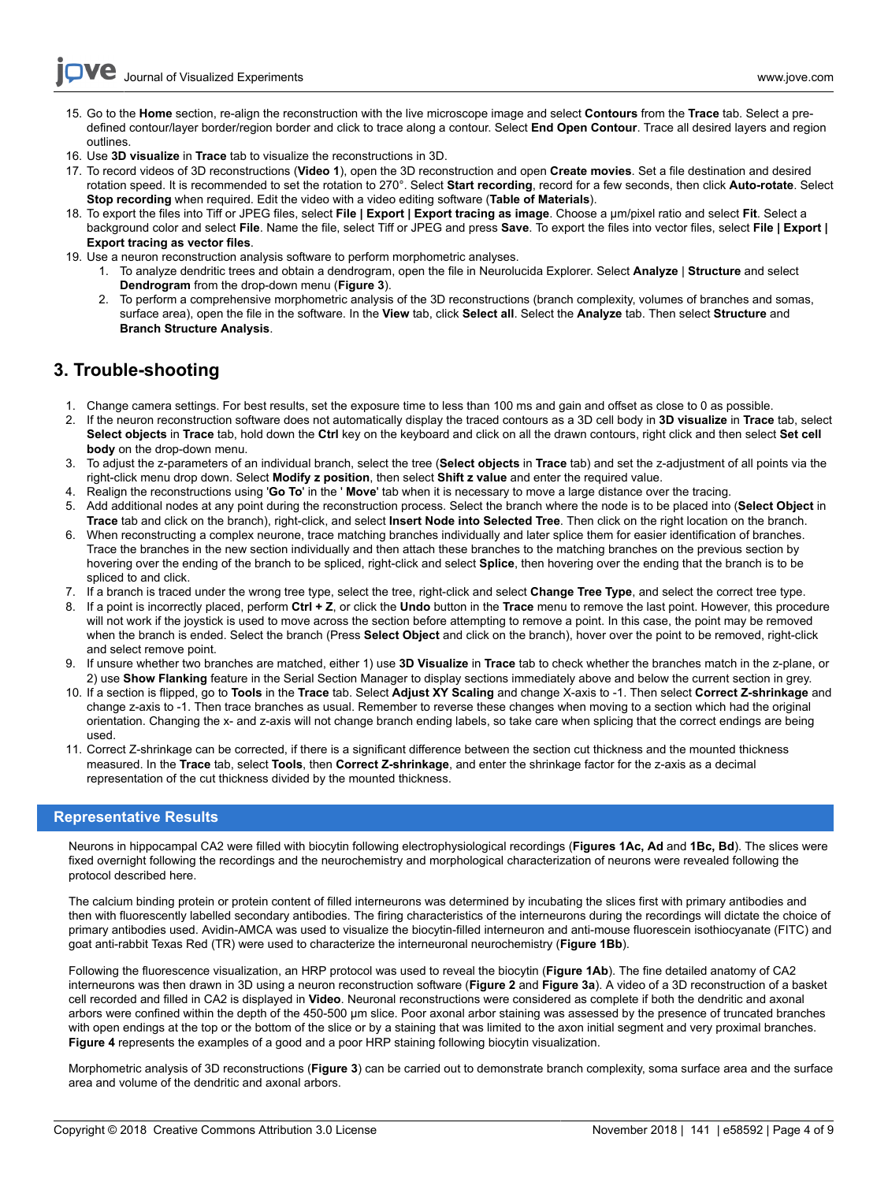- 15. Go to the **Home** section, re-align the reconstruction with the live microscope image and select **Contours** from the **Trace** tab. Select a predefined contour/layer border/region border and click to trace along a contour. Select **End Open Contour**. Trace all desired layers and region outlines.
- 16. Use **3D visualize** in **Trace** tab to visualize the reconstructions in 3D.
- 17. To record videos of 3D reconstructions (**Video 1**), open the 3D reconstruction and open **Create movies**. Set a file destination and desired rotation speed. It is recommended to set the rotation to 270°. Select **Start recording**, record for a few seconds, then click **Auto-rotate**. Select **Stop recording** when required. Edit the video with a video editing software (**Table of Materials**).
- 18. To export the files into Tiff or JPEG files, select **File | Export | Export tracing as image**. Choose a µm/pixel ratio and select **Fit**. Select a background color and select **File**. Name the file, select Tiff or JPEG and press **Save**. To export the files into vector files, select **File | Export | Export tracing as vector files**.
- 19. Use a neuron reconstruction analysis software to perform morphometric analyses.
	- 1. To analyze dendritic trees and obtain a dendrogram, open the file in Neurolucida Explorer. Select **Analyze** | **Structure** and select **Dendrogram** from the drop-down menu (**Figure 3**).
	- 2. To perform a comprehensive morphometric analysis of the 3D reconstructions (branch complexity, volumes of branches and somas, surface area), open the file in the software. In the **View** tab, click **Select all**. Select the **Analyze** tab. Then select **Structure** and **Branch Structure Analysis**.

# **3. Trouble-shooting**

- 1. Change camera settings. For best results, set the exposure time to less than 100 ms and gain and offset as close to 0 as possible.
- 2. If the neuron reconstruction software does not automatically display the traced contours as a 3D cell body in **3D visualize** in **Trace** tab, select **Select objects** in **Trace** tab, hold down the **Ctrl** key on the keyboard and click on all the drawn contours, right click and then select **Set cell body** on the drop-down menu.
- 3. To adjust the z-parameters of an individual branch, select the tree (**Select objects** in **Trace** tab) and set the z-adjustment of all points via the right-click menu drop down. Select **Modify z position**, then select **Shift z value** and enter the required value.
- 4. Realign the reconstructions using '**Go To**' in the ' **Move**' tab when it is necessary to move a large distance over the tracing.
- 5. Add additional nodes at any point during the reconstruction process. Select the branch where the node is to be placed into (**Select Object** in **Trace** tab and click on the branch), right-click, and select **Insert Node into Selected Tree**. Then click on the right location on the branch.
- 6. When reconstructing a complex neurone, trace matching branches individually and later splice them for easier identification of branches. Trace the branches in the new section individually and then attach these branches to the matching branches on the previous section by hovering over the ending of the branch to be spliced, right-click and select **Splice**, then hovering over the ending that the branch is to be spliced to and click.
- 7. If a branch is traced under the wrong tree type, select the tree, right-click and select **Change Tree Type**, and select the correct tree type.
- 8. If a point is incorrectly placed, perform **Ctrl + Z**, or click the **Undo** button in the **Trace** menu to remove the last point. However, this procedure will not work if the joystick is used to move across the section before attempting to remove a point. In this case, the point may be removed when the branch is ended. Select the branch (Press **Select Object** and click on the branch), hover over the point to be removed, right-click and select remove point.
- 9. If unsure whether two branches are matched, either 1) use **3D Visualize** in **Trace** tab to check whether the branches match in the z-plane, or 2) use **Show Flanking** feature in the Serial Section Manager to display sections immediately above and below the current section in grey.
- 10. If a section is flipped, go to **Tools** in the **Trace** tab. Select **Adjust XY Scaling** and change X-axis to -1. Then select **Correct Z-shrinkage** and change z-axis to -1. Then trace branches as usual. Remember to reverse these changes when moving to a section which had the original orientation. Changing the x- and z-axis will not change branch ending labels, so take care when splicing that the correct endings are being used.
- 11. Correct Z-shrinkage can be corrected, if there is a significant difference between the section cut thickness and the mounted thickness measured. In the **Trace** tab, select **Tools**, then **Correct Z-shrinkage**, and enter the shrinkage factor for the z-axis as a decimal representation of the cut thickness divided by the mounted thickness.

## **Representative Results**

Neurons in hippocampal CA2 were filled with biocytin following electrophysiological recordings (**Figures 1Ac, Ad** and **1Bc, Bd**). The slices were fixed overnight following the recordings and the neurochemistry and morphological characterization of neurons were revealed following the protocol described here.

The calcium binding protein or protein content of filled interneurons was determined by incubating the slices first with primary antibodies and then with fluorescently labelled secondary antibodies. The firing characteristics of the interneurons during the recordings will dictate the choice of primary antibodies used. Avidin-AMCA was used to visualize the biocytin-filled interneuron and anti-mouse fluorescein isothiocyanate (FITC) and goat anti-rabbit Texas Red (TR) were used to characterize the interneuronal neurochemistry (**Figure 1Bb**).

Following the fluorescence visualization, an HRP protocol was used to reveal the biocytin (**Figure 1Ab**). The fine detailed anatomy of CA2 interneurons was then drawn in 3D using a neuron reconstruction software (**Figure 2** and **Figure 3a**). A video of a 3D reconstruction of a basket cell recorded and filled in CA2 is displayed in **Video**. Neuronal reconstructions were considered as complete if both the dendritic and axonal arbors were confined within the depth of the 450-500 μm slice. Poor axonal arbor staining was assessed by the presence of truncated branches with open endings at the top or the bottom of the slice or by a staining that was limited to the axon initial segment and very proximal branches. **Figure 4** represents the examples of a good and a poor HRP staining following biocytin visualization.

Morphometric analysis of 3D reconstructions (**Figure 3**) can be carried out to demonstrate branch complexity, soma surface area and the surface area and volume of the dendritic and axonal arbors.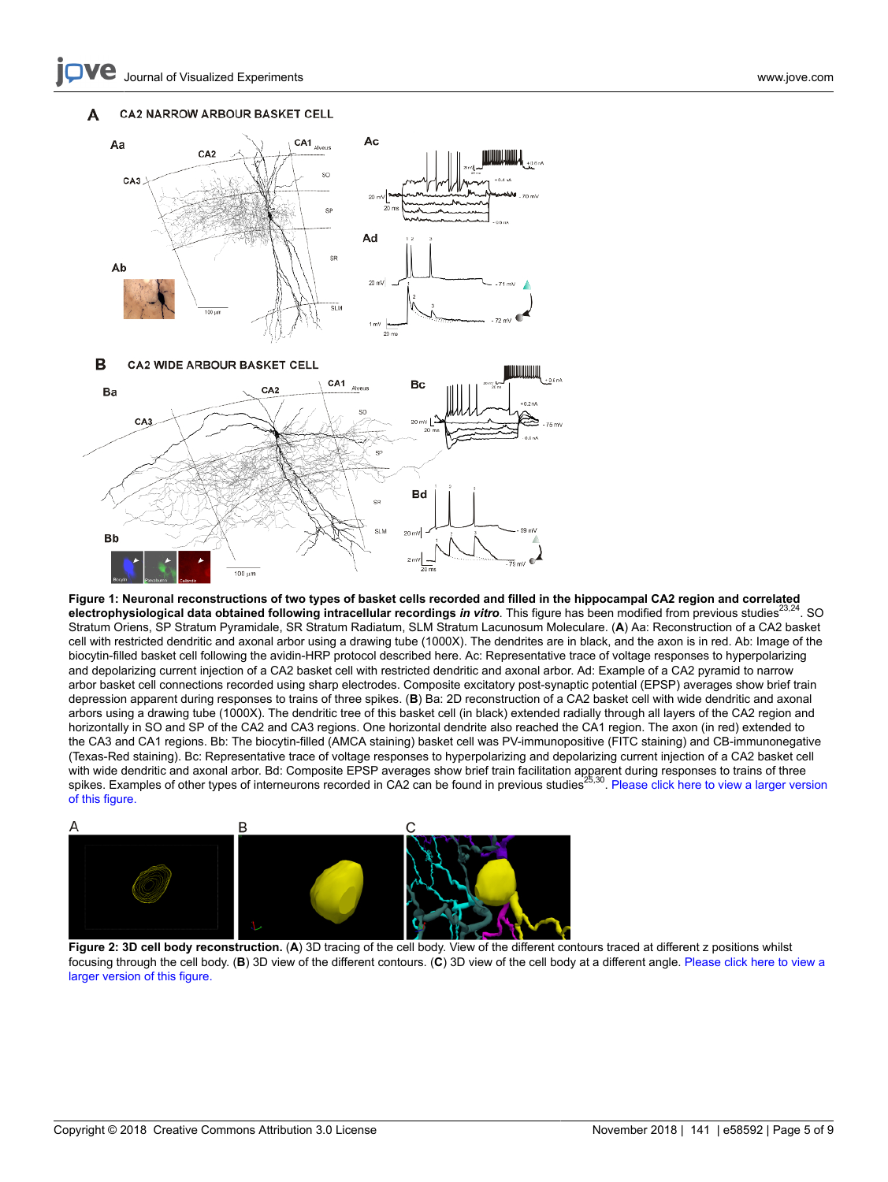Journal of Visualized [Experiments](https://www.jove.com) [www.jove.com](https://www.jove.com)



**Figure 1: Neuronal reconstructions of two types of basket cells recorded and filled in the hippocampal CA2 region and correlated electrophysiological data obtained following intracellular recordings** *in vitro***. This figure has been modified from previous studies<sup>23,24</sup>. SO** Stratum Oriens, SP Stratum Pyramidale, SR Stratum Radiatum, SLM Stratum Lacunosum Moleculare. (**A**) Aa: Reconstruction of a CA2 basket cell with restricted dendritic and axonal arbor using a drawing tube (1000X). The dendrites are in black, and the axon is in red. Ab: Image of the biocytin-filled basket cell following the avidin-HRP protocol described here. Ac: Representative trace of voltage responses to hyperpolarizing and depolarizing current injection of a CA2 basket cell with restricted dendritic and axonal arbor. Ad: Example of a CA2 pyramid to narrow arbor basket cell connections recorded using sharp electrodes. Composite excitatory post-synaptic potential (EPSP) averages show brief train depression apparent during responses to trains of three spikes. (**B**) Ba: 2D reconstruction of a CA2 basket cell with wide dendritic and axonal arbors using a drawing tube (1000X). The dendritic tree of this basket cell (in black) extended radially through all layers of the CA2 region and horizontally in SO and SP of the CA2 and CA3 regions. One horizontal dendrite also reached the CA1 region. The axon (in red) extended to the CA3 and CA1 regions. Bb: The biocytin-filled (AMCA staining) basket cell was PV-immunopositive (FITC staining) and CB-immunonegative (Texas-Red staining). Bc: Representative trace of voltage responses to hyperpolarizing and depolarizing current injection of a CA2 basket cell with wide dendritic and axonal arbor. Bd: Composite EPSP averages show brief train facilitation apparent during responses to trains of three spikes. Examples of other types of interneurons recorded in CA2 can be found in previous studies<sup>25,30</sup>. [Please click here to view a larger version](https://www.jove.com/files/ftp_upload/58592/58592fig1large.jpg) [of this figure.](https://www.jove.com/files/ftp_upload/58592/58592fig1large.jpg)



**Figure 2: 3D cell body reconstruction.** (**A**) 3D tracing of the cell body. View of the different contours traced at different z positions whilst focusing through the cell body. (**B**) 3D view of the different contours. (**C**) 3D view of the cell body at a different angle. [Please click here to view a](https://www.jove.com/files/ftp_upload/58592/58592fig2large.jpg) [larger version of this figure.](https://www.jove.com/files/ftp_upload/58592/58592fig2large.jpg)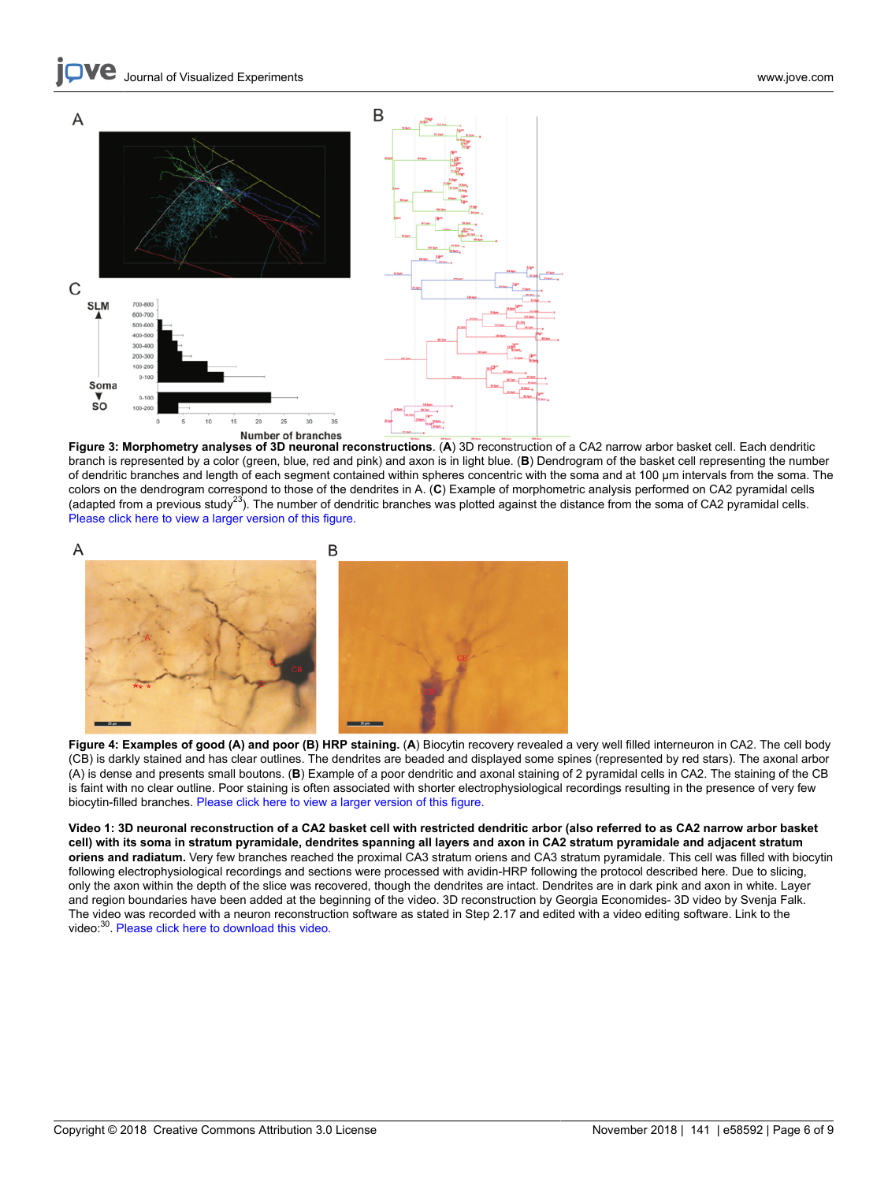

**Figure 3: Morphometry analyses of 3D neuronal reconstructions**. (**A**) 3D reconstruction of a CA2 narrow arbor basket cell. Each dendritic branch is represented by a color (green, blue, red and pink) and axon is in light blue. (**B**) Dendrogram of the basket cell representing the number of dendritic branches and length of each segment contained within spheres concentric with the soma and at 100 μm intervals from the soma. The colors on the dendrogram correspond to those of the dendrites in A. (**C**) Example of morphometric analysis performed on CA2 pyramidal cells (adapted from a previous study<sup>23</sup>). The number of dendritic branches was plotted against the distance from the soma of CA2 pyramidal cells. [Please click here to view a larger version of this figure.](https://www.jove.com/files/ftp_upload/58592/58592fig3large.jpg)



**Figure 4: Examples of good (A) and poor (B) HRP staining.** (**A**) Biocytin recovery revealed a very well filled interneuron in CA2. The cell body (CB) is darkly stained and has clear outlines. The dendrites are beaded and displayed some spines (represented by red stars). The axonal arbor (A) is dense and presents small boutons. (**B**) Example of a poor dendritic and axonal staining of 2 pyramidal cells in CA2. The staining of the CB is faint with no clear outline. Poor staining is often associated with shorter electrophysiological recordings resulting in the presence of very few biocytin-filled branches. [Please click here to view a larger version of this figure.](https://www.jove.com/files/ftp_upload/58592/58592fig4large.jpg)

**Video 1: 3D neuronal reconstruction of a CA2 basket cell with restricted dendritic arbor (also referred to as CA2 narrow arbor basket cell) with its soma in stratum pyramidale, dendrites spanning all layers and axon in CA2 stratum pyramidale and adjacent stratum oriens and radiatum.** Very few branches reached the proximal CA3 stratum oriens and CA3 stratum pyramidale. This cell was filled with biocytin following electrophysiological recordings and sections were processed with avidin-HRP following the protocol described here. Due to slicing, only the axon within the depth of the slice was recovered, though the dendrites are intact. Dendrites are in dark pink and axon in white. Layer and region boundaries have been added at the beginning of the video. 3D reconstruction by Georgia Economides- 3D video by Svenja Falk. The video was recorded with a neuron reconstruction software as stated in Step 2.17 and edited with a video editing software. Link to the video:<sup>30</sup> [Please click here to download this video.](https://www.jove.com/files/ftp_upload/58592/Figure_3.mp4)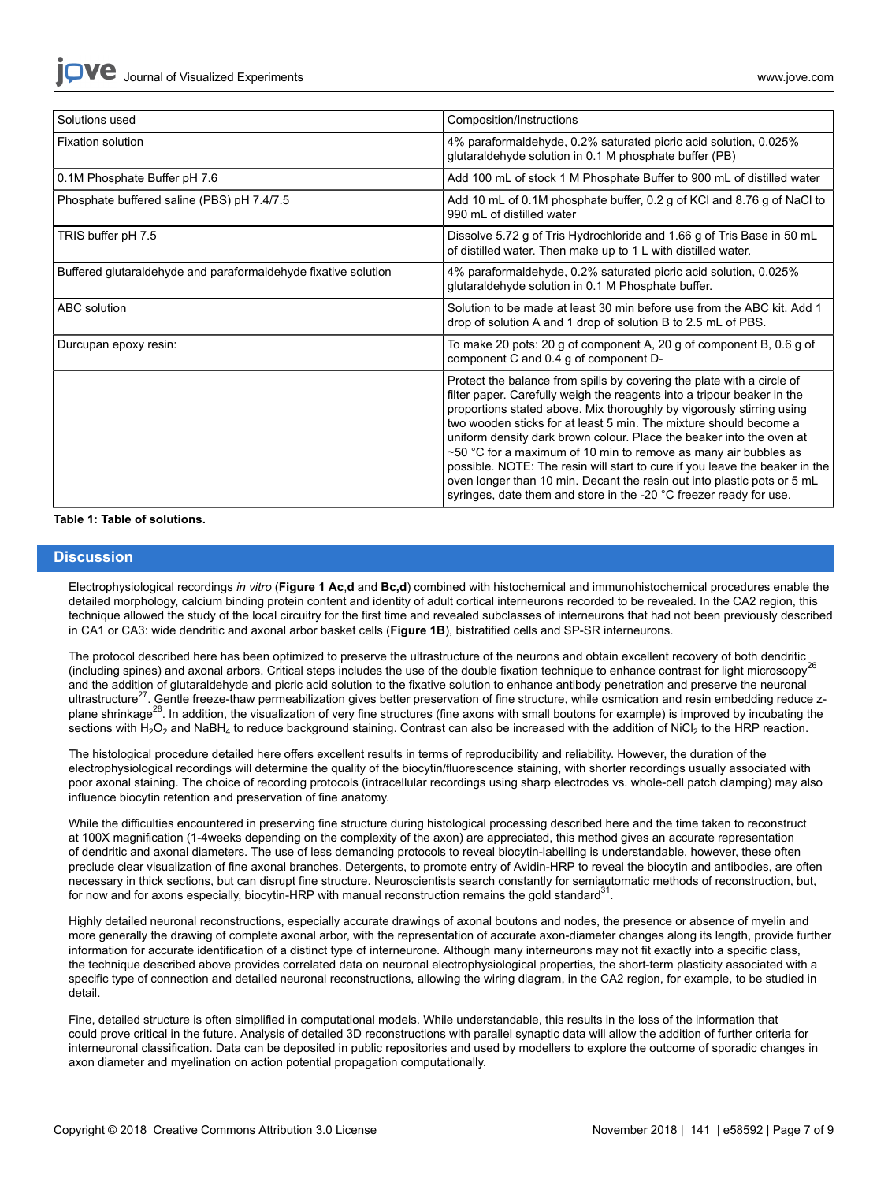| Solutions used                                                 | Composition/Instructions                                                                                                                                                                                                                                                                                                                                                                                                                                                                                                                                                                                                                                                         |
|----------------------------------------------------------------|----------------------------------------------------------------------------------------------------------------------------------------------------------------------------------------------------------------------------------------------------------------------------------------------------------------------------------------------------------------------------------------------------------------------------------------------------------------------------------------------------------------------------------------------------------------------------------------------------------------------------------------------------------------------------------|
| <b>Fixation solution</b>                                       | 4% paraformaldehyde, 0.2% saturated picric acid solution, 0.025%<br>glutaraldehyde solution in 0.1 M phosphate buffer (PB)                                                                                                                                                                                                                                                                                                                                                                                                                                                                                                                                                       |
| 0.1M Phosphate Buffer pH 7.6                                   | Add 100 mL of stock 1 M Phosphate Buffer to 900 mL of distilled water                                                                                                                                                                                                                                                                                                                                                                                                                                                                                                                                                                                                            |
| Phosphate buffered saline (PBS) pH 7.4/7.5                     | Add 10 mL of 0.1M phosphate buffer, 0.2 g of KCI and 8.76 g of NaCI to<br>990 mL of distilled water                                                                                                                                                                                                                                                                                                                                                                                                                                                                                                                                                                              |
| TRIS buffer pH 7.5                                             | Dissolve 5.72 g of Tris Hydrochloride and 1.66 g of Tris Base in 50 mL<br>of distilled water. Then make up to 1 L with distilled water.                                                                                                                                                                                                                                                                                                                                                                                                                                                                                                                                          |
| Buffered glutaraldehyde and paraformaldehyde fixative solution | 4% paraformaldehyde, 0.2% saturated picric acid solution, 0.025%<br>glutaraldehyde solution in 0.1 M Phosphate buffer.                                                                                                                                                                                                                                                                                                                                                                                                                                                                                                                                                           |
| ABC solution                                                   | Solution to be made at least 30 min before use from the ABC kit. Add 1<br>drop of solution A and 1 drop of solution B to 2.5 mL of PBS.                                                                                                                                                                                                                                                                                                                                                                                                                                                                                                                                          |
| Durcupan epoxy resin:                                          | To make 20 pots: 20 g of component A, 20 g of component B, 0.6 g of<br>component C and 0.4 g of component D-                                                                                                                                                                                                                                                                                                                                                                                                                                                                                                                                                                     |
|                                                                | Protect the balance from spills by covering the plate with a circle of<br>filter paper. Carefully weigh the reagents into a tripour beaker in the<br>proportions stated above. Mix thoroughly by vigorously stirring using<br>two wooden sticks for at least 5 min. The mixture should become a<br>uniform density dark brown colour. Place the beaker into the oven at<br>$\sim$ 50 °C for a maximum of 10 min to remove as many air bubbles as<br>possible. NOTE: The resin will start to cure if you leave the beaker in the<br>oven longer than 10 min. Decant the resin out into plastic pots or 5 mL<br>syringes, date them and store in the -20 °C freezer ready for use. |

#### **Table 1: Table of solutions.**

## **Discussion**

Electrophysiological recordings *in vitro* (**Figure 1 Ac**,**d** and **Bc,d**) combined with histochemical and immunohistochemical procedures enable the detailed morphology, calcium binding protein content and identity of adult cortical interneurons recorded to be revealed. In the CA2 region, this technique allowed the study of the local circuitry for the first time and revealed subclasses of interneurons that had not been previously described in CA1 or CA3: wide dendritic and axonal arbor basket cells (**Figure 1B**), bistratified cells and SP-SR interneurons.

The protocol described here has been optimized to preserve the ultrastructure of the neurons and obtain excellent recovery of both dendritic (including spines) and axonal arbors. Critical steps includes the use of the double fixation technique to enhance contrast for light microscopy<sup>26</sup> and the addition of glutaraldehyde and picric acid solution to the fixative solution to enhance antibody penetration and preserve the neuronal ultrastructure<sup>27</sup>. Gentle freeze-thaw permeabilization gives better preservation of fine structure, while osmication and resin embedding reduce zplane shrinkage<sup>28</sup>. In addition, the visualization of very fine structures (fine axons with small boutons for example) is improved by incubating the sections with H<sub>2</sub>O<sub>2</sub> and NaBH<sub>4</sub> to reduce background staining. Contrast can also be increased with the addition of NiCl<sub>2</sub> to the HRP reaction.

The histological procedure detailed here offers excellent results in terms of reproducibility and reliability. However, the duration of the electrophysiological recordings will determine the quality of the biocytin/fluorescence staining, with shorter recordings usually associated with poor axonal staining. The choice of recording protocols (intracellular recordings using sharp electrodes vs. whole-cell patch clamping) may also influence biocytin retention and preservation of fine anatomy.

While the difficulties encountered in preserving fine structure during histological processing described here and the time taken to reconstruct at 100X magnification (1-4weeks depending on the complexity of the axon) are appreciated, this method gives an accurate representation of dendritic and axonal diameters. The use of less demanding protocols to reveal biocytin-labelling is understandable, however, these often preclude clear visualization of fine axonal branches. Detergents, to promote entry of Avidin-HRP to reveal the biocytin and antibodies, are often necessary in thick sections, but can disrupt fine structure. Neuroscientists search constantly for semiautomatic methods of reconstruction, but, for now and for axons especially, biocytin-HRP with manual reconstruction remains the gold standard<sup>31</sup>.

Highly detailed neuronal reconstructions, especially accurate drawings of axonal boutons and nodes, the presence or absence of myelin and more generally the drawing of complete axonal arbor, with the representation of accurate axon-diameter changes along its length, provide further information for accurate identification of a distinct type of interneurone. Although many interneurons may not fit exactly into a specific class, the technique described above provides correlated data on neuronal electrophysiological properties, the short-term plasticity associated with a specific type of connection and detailed neuronal reconstructions, allowing the wiring diagram, in the CA2 region, for example, to be studied in detail.

Fine, detailed structure is often simplified in computational models. While understandable, this results in the loss of the information that could prove critical in the future. Analysis of detailed 3D reconstructions with parallel synaptic data will allow the addition of further criteria for interneuronal classification. Data can be deposited in public repositories and used by modellers to explore the outcome of sporadic changes in axon diameter and myelination on action potential propagation computationally.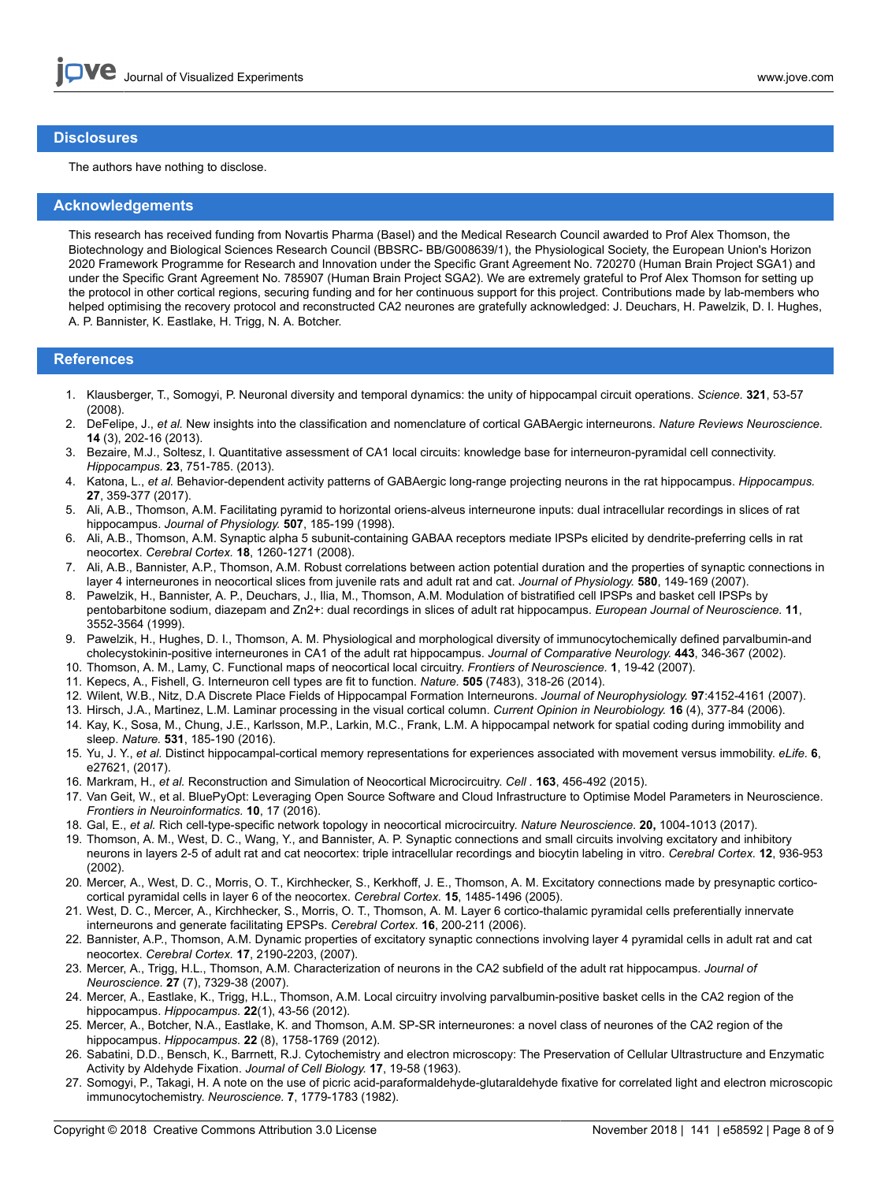### **Disclosures**

The authors have nothing to disclose.

### **Acknowledgements**

This research has received funding from Novartis Pharma (Basel) and the Medical Research Council awarded to Prof Alex Thomson, the Biotechnology and Biological Sciences Research Council (BBSRC- BB/G008639/1), the Physiological Society, the European Union's Horizon 2020 Framework Programme for Research and Innovation under the Specific Grant Agreement No. 720270 (Human Brain Project SGA1) and under the Specific Grant Agreement No. 785907 (Human Brain Project SGA2). We are extremely grateful to Prof Alex Thomson for setting up the protocol in other cortical regions, securing funding and for her continuous support for this project. Contributions made by lab-members who helped optimising the recovery protocol and reconstructed CA2 neurones are gratefully acknowledged: J. Deuchars, H. Pawelzik, D. I. Hughes, A. P. Bannister, K. Eastlake, H. Trigg, N. A. Botcher.

## **References**

- 1. Klausberger, T., Somogyi, P. Neuronal diversity and temporal dynamics: the unity of hippocampal circuit operations. *Science.* **321**, 53-57 (2008).
- 2. DeFelipe, J., *et al.* New insights into the classification and nomenclature of cortical GABAergic interneurons. *Nature Reviews Neuroscience.* **14** (3), 202-16 (2013).
- 3. Bezaire, M.J., Soltesz, I. Quantitative assessment of CA1 local circuits: knowledge base for interneuron-pyramidal cell connectivity. *Hippocampus.* **23**, 751-785. (2013).
- 4. Katona, L., *et al.* Behavior-dependent activity patterns of GABAergic long-range projecting neurons in the rat hippocampus. *Hippocampus.* **27**, 359-377 (2017).
- 5. Ali, A.B., Thomson, A.M. Facilitating pyramid to horizontal oriens-alveus interneurone inputs: dual intracellular recordings in slices of rat hippocampus. *Journal of Physiology.* **507**, 185-199 (1998).
- 6. Ali, A.B., Thomson, A.M. Synaptic alpha 5 subunit-containing GABAA receptors mediate IPSPs elicited by dendrite-preferring cells in rat neocortex. *Cerebral Cortex.* **18**, 1260-1271 (2008).
- 7. Ali, A.B., Bannister, A.P., Thomson, A.M. Robust correlations between action potential duration and the properties of synaptic connections in layer 4 interneurones in neocortical slices from juvenile rats and adult rat and cat. *Journal of Physiology.* **580**, 149-169 (2007).
- 8. Pawelzik, H., Bannister, A. P., Deuchars, J., Ilia, M., Thomson, A.M. Modulation of bistratified cell IPSPs and basket cell IPSPs by pentobarbitone sodium, diazepam and Zn2+: dual recordings in slices of adult rat hippocampus. *European Journal of Neuroscience.* **11**, 3552-3564 (1999).
- 9. Pawelzik, H., Hughes, D. I., Thomson, A. M. Physiological and morphological diversity of immunocytochemically defined parvalbumin-and cholecystokinin-positive interneurones in CA1 of the adult rat hippocampus. *Journal of Comparative Neurology.* **443**, 346-367 (2002).
- 10. Thomson, A. M., Lamy, C. Functional maps of neocortical local circuitry. *Frontiers of Neuroscience.* **1**, 19-42 (2007).
- 11. Kepecs, A., Fishell, G. Interneuron cell types are fit to function. *Nature.* **505** (7483), 318-26 (2014).
- 12. Wilent, W.B., Nitz, D.A Discrete Place Fields of Hippocampal Formation Interneurons. *Journal of Neurophysiology.* **97**:4152-4161 (2007).
- 13. Hirsch, J.A., Martinez, L.M. Laminar processing in the visual cortical column. *Current Opinion in Neurobiology.* **16** (4), 377-84 (2006).
- 14. Kay, K., Sosa, M., Chung, J.E., Karlsson, M.P., Larkin, M.C., Frank, L.M. A hippocampal network for spatial coding during immobility and sleep. *Nature.* **531**, 185-190 (2016).
- 15. Yu, J. Y., *et al.* Distinct hippocampal-cortical memory representations for experiences associated with movement versus immobility. *eLife.* **6**, e27621, (2017).
- 16. Markram, H., *et al.* Reconstruction and Simulation of Neocortical Microcircuitry. *Cell .* **163**, 456-492 (2015).
- 17. Van Geit, W., et al. BluePyOpt: Leveraging Open Source Software and Cloud Infrastructure to Optimise Model Parameters in Neuroscience. *Frontiers in Neuroinformatics.* **10**, 17 (2016).
- 18. Gal, E., *et al.* Rich cell-type-specific network topology in neocortical microcircuitry. *Nature Neuroscience.* **20,** 1004-1013 (2017).
- 19. Thomson, A. M., West, D. C., Wang, Y., and Bannister, A. P. Synaptic connections and small circuits involving excitatory and inhibitory neurons in layers 2-5 of adult rat and cat neocortex: triple intracellular recordings and biocytin labeling in vitro. *Cerebral Cortex.* **12**, 936-953 (2002).
- 20. Mercer, A., West, D. C., Morris, O. T., Kirchhecker, S., Kerkhoff, J. E., Thomson, A. M. Excitatory connections made by presynaptic corticocortical pyramidal cells in layer 6 of the neocortex. *Cerebral Cortex.* **15**, 1485-1496 (2005).
- 21. West, D. C., Mercer, A., Kirchhecker, S., Morris, O. T., Thomson, A. M. Layer 6 cortico-thalamic pyramidal cells preferentially innervate interneurons and generate facilitating EPSPs. *Cerebral Cortex.* **16**, 200-211 (2006).
- 22. Bannister, A.P., Thomson, A.M. Dynamic properties of excitatory synaptic connections involving layer 4 pyramidal cells in adult rat and cat neocortex. *Cerebral Cortex.* **17**, 2190-2203, (2007).
- 23. Mercer, A., Trigg, H.L., Thomson, A.M. Characterization of neurons in the CA2 subfield of the adult rat hippocampus. *Journal of Neuroscience.* **27** (7), 7329-38 (2007).
- 24. Mercer, A., Eastlake, K., Trigg, H.L., Thomson, A.M. Local circuitry involving parvalbumin-positive basket cells in the CA2 region of the hippocampus. *Hippocampus.* **22**(1), 43-56 (2012).
- 25. Mercer, A., Botcher, N.A., Eastlake, K. and Thomson, A.M. SP-SR interneurones: a novel class of neurones of the CA2 region of the hippocampus. *Hippocampus.* **22** (8), 1758-1769 (2012).
- 26. Sabatini, D.D., Bensch, K., Barrnett, R.J. Cytochemistry and electron microscopy: The Preservation of Cellular Ultrastructure and Enzymatic Activity by Aldehyde Fixation. *Journal of Cell Biology.* **17**, 19-58 (1963).
- 27. Somogyi, P., Takagi, H. A note on the use of picric acid-paraformaldehyde-glutaraldehyde fixative for correlated light and electron microscopic immunocytochemistry. *Neuroscience.* **7**, 1779-1783 (1982).